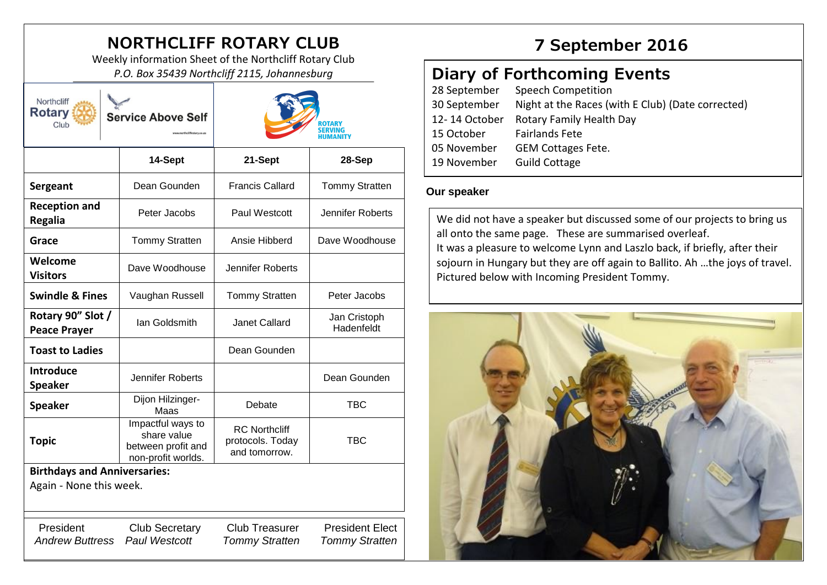# **NORTHCLIFF ROTARY CLUB 7 September 2016**

Weekly information Sheet of the Northcliff Rotary Club *P.O. Box 35439 Northcliff 2115, Johannesburg*

| Northcliff<br><b>Rotary</b><br><b>Service Above Self</b><br>Club |                                                                              | ROTARY<br><b>SERVING</b><br>HUMANITY                      |                                                 |
|------------------------------------------------------------------|------------------------------------------------------------------------------|-----------------------------------------------------------|-------------------------------------------------|
|                                                                  | 14-Sept                                                                      | 21-Sept                                                   | 28-Sep                                          |
| Sergeant                                                         | Dean Gounden                                                                 | <b>Francis Callard</b>                                    | <b>Tommy Stratten</b>                           |
| <b>Reception and</b><br><b>Regalia</b>                           | Peter Jacobs                                                                 | Paul Westcott                                             | Jennifer Roberts                                |
| Grace                                                            | <b>Tommy Stratten</b>                                                        | Ansie Hibberd                                             | Dave Woodhouse                                  |
| Welcome<br><b>Visitors</b>                                       | Dave Woodhouse                                                               | Jennifer Roberts                                          |                                                 |
| <b>Swindle &amp; Fines</b>                                       | Vaughan Russell                                                              | <b>Tommy Stratten</b>                                     | Peter Jacobs                                    |
| Rotary 90" Slot /<br><b>Peace Prayer</b>                         | Ian Goldsmith                                                                | <b>Janet Callard</b>                                      | Jan Cristoph<br>Hadenfeldt                      |
| <b>Toast to Ladies</b>                                           |                                                                              | Dean Gounden                                              |                                                 |
| <b>Introduce</b><br><b>Speaker</b>                               | Jennifer Roberts                                                             |                                                           | Dean Gounden                                    |
| <b>Speaker</b>                                                   | Dijon Hilzinger-<br>Maas                                                     | Debate                                                    | <b>TBC</b>                                      |
| <b>Topic</b>                                                     | Impactful ways to<br>share value<br>between profit and<br>non-profit worlds. | <b>RC Northcliff</b><br>protocols. Today<br>and tomorrow. | <b>TBC</b>                                      |
| <b>Birthdays and Anniversaries:</b>                              |                                                                              |                                                           |                                                 |
| Again - None this week.                                          |                                                                              |                                                           |                                                 |
| President<br><b>Andrew Buttress</b>                              | <b>Club Secretary</b><br>Paul Westcott                                       | <b>Club Treasurer</b><br><b>Tommy Stratten</b>            | <b>President Elect</b><br><b>Tommy Stratten</b> |

# **Diary of Forthcoming Events**

| 28 September  | Speech Competition                                |
|---------------|---------------------------------------------------|
| 30 September  | Night at the Races (with E Club) (Date corrected) |
| 12-14 October | Rotary Family Health Day                          |
| 15 October    | <b>Fairlands Fete</b>                             |
| 05 November   | <b>GEM Cottages Fete.</b>                         |
| 19 November   | <b>Guild Cottage</b>                              |
|               |                                                   |

## **Our speaker**

We did not have a speaker but discussed some of our projects to bring us all onto the same page. These are summarised overleaf. It was a pleasure to welcome Lynn and Laszlo back, if briefly, after their sojourn in Hungary but they are off again to Ballito. Ah …the joys of travel. Pictured below with Incoming President Tommy.

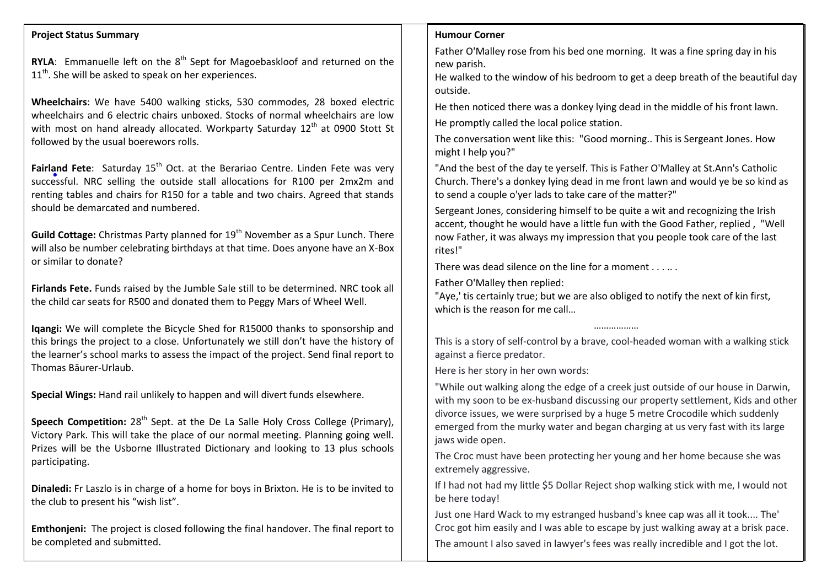#### **Project Status Summary**

**RYLA:** Emmanuelle left on the 8<sup>th</sup> Sept for Magoebaskloof and returned on the  $11<sup>th</sup>$ . She will be asked to speak on her experiences.

**Wheelchairs**: We have 5400 walking sticks, 530 commodes, 28 boxed electric wheelchairs and 6 electric chairs unboxed. Stocks of normal wheelchairs are low with most on hand already allocated. Workparty Saturday 12<sup>th</sup> at 0900 Stott St followed by the usual boerewors rolls.

**Fairland Fete**: Saturday 15<sup>th</sup> Oct. at the Berariao Centre. Linden Fete was very successful. NRC selling the outside stall allocations for R100 per 2mx2m and renting tables and chairs for R150 for a table and two chairs. Agreed that stands should be demarcated and numbered.

**Guild Cottage:** Christmas Party planned for 19<sup>th</sup> November as a Spur Lunch. There will also be number celebrating birthdays at that time. Does anyone have an X-Box or similar to donate?

**Firlands Fete.** Funds raised by the Jumble Sale still to be determined. NRC took all the child car seats for R500 and donated them to Peggy Mars of Wheel Well.

**Iqangi:** We will complete the Bicycle Shed for R15000 thanks to sponsorship and this brings the project to a close. Unfortunately we still don't have the history of the learner's school marks to assess the impact of the project. Send final report to Thomas Bāurer-Urlaub.

**Special Wings:** Hand rail unlikely to happen and will divert funds elsewhere.

**Speech Competition:** 28<sup>th</sup> Sept. at the De La Salle Holy Cross College (Primary), Victory Park. This will take the place of our normal meeting. Planning going well. Prizes will be the Usborne Illustrated Dictionary and looking to 13 plus schools participating.

**Dinaledi:** Fr Laszlo is in charge of a home for boys in Brixton. He is to be invited to the club to present his "wish list".

**Emthonjeni:** The project is closed following the final handover. The final report to be completed and submitted.

#### **Humour Corner**

Father O'Malley rose from his bed one morning. It was a fine spring day in his new parish.

He walked to the window of his bedroom to get a deep breath of the beautiful day outside.

He then noticed there was a donkey lying dead in the middle of his front lawn.

He promptly called the local police station.

The conversation went like this: "Good morning.. This is Sergeant Jones. How might I help you?"

"And the best of the day te yerself. This is Father O'Malley at St.Ann's Catholic Church. There's a donkey lying dead in me front lawn and would ye be so kind as to send a couple o'yer lads to take care of the matter?"

Sergeant Jones, considering himself to be quite a wit and recognizing the Irish accent, thought he would have a little fun with the Good Father, replied , "Well now Father, it was always my impression that you people took care of the last rites!"

There was dead silence on the line for a moment

Father O'Malley then replied:

"Aye,' tis certainly true; but we are also obliged to notify the next of kin first, which is the reason for me call…

This is a story of self-control by a brave, cool-headed woman with a walking stick against a fierce predator.

………………

Here is her story in her own words:

"While out walking along the edge of a creek just outside of our house in Darwin, with my soon to be ex-husband discussing our property settlement, Kids and other divorce issues, we were surprised by a huge 5 metre Crocodile which suddenly emerged from the murky water and began charging at us very fast with its large jaws wide open.

The Croc must have been protecting her young and her home because she was extremely aggressive.

If I had not had my little \$5 Dollar Reject shop walking stick with me, I would not be here today!

Just one Hard Wack to my estranged husband's knee cap was all it took.... The' Croc got him easily and I was able to escape by just walking away at a brisk pace. The amount I also saved in lawyer's fees was really incredible and I got the lot.